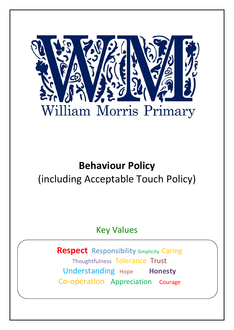

# **Behaviour Policy** (including Acceptable Touch Policy)

Key Values

**Respect** Responsibility Simplicity Caring Thoughtfulness Tolerance Trust Understanding Hope **Honesty** Co-operation Appreciation Courage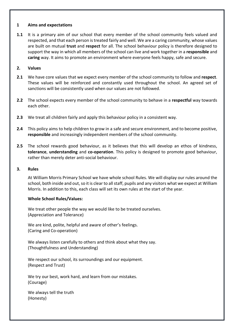#### **1 Aims and expectations**

**1.1** It is a primary aim of our school that every member of the school community feels valued and respected, and that each person is treated fairly and well. We are a caring community, whose values are built on mutual **trust** and **respect** for all. The school behaviour policy is therefore designed to support the way in which all members of the school can live and work together in a **responsible** and **caring** way. It aims to promote an environment where everyone feels happy, safe and secure.

#### **2. Values**

- **2.1** We have core values that we expect every member of the school community to follow and **respect**. These values will be reinforced and constantly used throughout the school. An agreed set of sanctions will be consistently used when our values are not followed.
- **2.2** The school expects every member of the school community to behave in a **respectful** way towards each other.
- **2.3** We treat all children fairly and apply this behaviour policy in a consistent way.
- **2.4** This policy aims to help children to grow in a safe and secure environment, and to become positive, **responsible** and increasingly independent members of the school community.
- **2.5** The school rewards good behaviour, as it believes that this will develop an ethos of kindness, **tolerance**, **understanding** and **co-operation**. This policy is designed to promote good behaviour, rather than merely deter anti-social behaviour.

#### **3. Rules**

At William Morris Primary School we have whole school Rules. We will display our rules around the school, both inside and out, so it is clear to all staff, pupils and any visitors what we expect at William Morris. In addition to this, each class will set its own rules at the start of the year.

#### **Whole School Rules/Values:**

We treat other people the way we would like to be treated ourselves. (Appreciation and Tolerance)

We are kind, polite, helpful and aware of other's feelings. (Caring and Co-operation)

We always listen carefully to others and think about what they say. (Thoughtfulness and Understanding)

We respect our school, its surroundings and our equipment. (Respect and Trust)

We try our best, work hard, and learn from our mistakes. (Courage)

We always tell the truth (Honesty)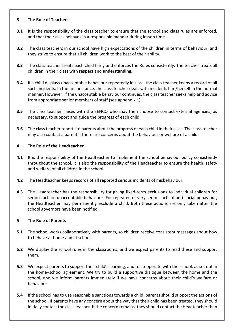# **3 The Role of Teachers**

- **3.1** It is the responsibility of the class teacher to ensure that the school and class rules are enforced, and that their class behaves in a responsible manner during lesson time.
- **3.2** The class teachers in our school have high expectations of the children in terms of behaviour, and they strive to ensure that all children work to the best of their ability.
- **3.3** The class teacher treats each child fairly and enforces the Rules consistently. The teacher treats all children in their class with **respect** and **understanding.**
- **3.4** If a child displays unacceptable behaviour repeatedly in class, the class teacher keeps a record of all such incidents. In the first instance, the class teacher deals with incidents him/herself in the normal manner. However, if the unacceptable behaviour continues, the class teacher seeks help and advice from appropriate senior members of staff (see appendix 1).
- **3.5** The class teacher liaises with the SENCO who may then choose to contact external agencies, as necessary, to support and guide the progress of each child.
- **3.6** The class teacher reports to parents about the progress of each child in their class. The class teacher may also contact a parent if there are concerns about the behaviour or welfare of a child.

# **4 The Role of the Headteacher**

- **4.1** It is the responsibility of the Headteacher to implement the school behaviour policy consistently throughout the school. It is also the responsibility of the Headteacher to ensure the health, safety and welfare of all children in the school.
- **4.2** The Headteacher keeps records of all reported serious incidents of misbehaviour.
- **4.3** The Headteacher has the responsibility for giving fixed-term exclusions to individual children for serious acts of unacceptable behaviour. For repeated or very serious acts of anti-social behaviour, the Headteacher may permanently exclude a child. Both these actions are only taken after the school governors have been notified.

# **5 The Role of Parents**

- **5.1** The school works collaboratively with parents, so children receive consistent messages about how to behave at home and at school.
- **5.2** We display the school rules in the classrooms, and we expect parents to read these and support them.
- **5.3** We expect parents to support their child's learning, and to co-operate with the school, as set out in the home–school agreement. We try to build a supportive dialogue between the home and the school, and we inform parents immediately if we have concerns about their child's welfare or behaviour.
- **5.4** If the school has to use reasonable sanctions towards a child, parents should support the actions of the school. If parents have any concern about the way that their child has been treated, they should initially contact the class teacher. If the concern remains, they should contact the Headteacher then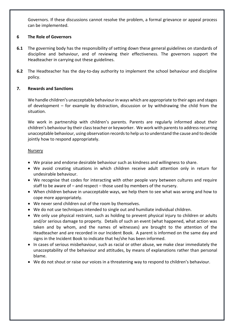Governors. If these discussions cannot resolve the problem, a formal grievance or appeal process can be implemented.

# **6 The Role of Governors**

- **6.1** The governing body has the responsibility of setting down these general guidelines on standards of discipline and behaviour, and of reviewing their effectiveness. The governors support the Headteacher in carrying out these guidelines.
- **6.2** The Headteacher has the day-to-day authority to implement the school behaviour and discipline policy.

# **7. Rewards and Sanctions**

We handle children's unacceptable behaviour in ways which are appropriate to their ages and stages of development – for example by distraction, discussion or by withdrawing the child from the situation.

We work in partnership with children's parents. Parents are regularly informed about their children's behaviour by their class teacher or keyworker. We work with parents to address recurring unacceptable behaviour, using observation records to help us to understand the cause and to decide jointly how to respond appropriately.

# **Nursery**

- We praise and endorse desirable behaviour such as kindness and willingness to share.
- We avoid creating situations in which children receive adult attention only in return for undesirable behaviour.
- We recognise that codes for interacting with other people vary between cultures and require staff to be aware of – and respect – those used by members of the nursery.
- When children behave in unacceptable ways, we help them to see what was wrong and how to cope more appropriately.
- We never send children out of the room by themselves.
- We do not use techniques intended to single out and humiliate individual children.
- We only use physical restraint, such as holding to prevent physical injury to children or adults and/or serious damage to property. Details of such an event (what happened, what action was taken and by whom, and the names of witnesses) are brought to the attention of the Headteacher and are recorded in our Incident Book. A parent is informed on the same day and signs in the Incident Book to indicate that he/she has been informed.
- In cases of serious misbehaviour, such as racial or other abuse, we make clear immediately the unacceptability of the behaviour and attitudes, by means of explanations rather than personal blame.
- We do not shout or raise our voices in a threatening way to respond to children's behaviour.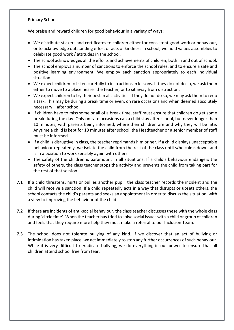# Primary School

We praise and reward children for good behaviour in a variety of ways:

- We distribute stickers and certificates to children either for consistent good work or behaviour, or to acknowledge outstanding effort or acts of kindness in school; we hold values assemblies to celebrate good work / attitudes in the school.
- The school acknowledges all the efforts and achievements of children, both in and out of school.
- The school employs a number of sanctions to enforce the school rules, and to ensure a safe and positive learning environment. We employ each sanction appropriately to each individual situation.
- We expect children to listen carefully to instructions in lessons. If they do not do so, we ask them either to move to a place nearer the teacher, or to sit away from distraction.
- We expect children to try their best in all activities. If they do not do so, we may ask them to redo a task. This may be during a break time or even, on rare occasions and when deemed absolutely necessary – after school.
- If children have to miss some or all of a break time, staff must ensure that children do get some break during the day. Only on rare occasions can a child stay after school, but never longer than 10 minutes, with parents being informed, where their children are and why they will be late. Anytime a child is kept for 10 minutes after school, the Headteacher or a senior member of staff must be informed.
- If a child is disruptive in class, the teacher reprimands him or her. If a child displays unacceptable behaviour repeatedly, we isolate the child from the rest of the class until s/he calms down, and is in a position to work sensibly again with others.
- The safety of the children is paramount in all situations. If a child's behaviour endangers the safety of others, the class teacher stops the activity and prevents the child from taking part for the rest of that session.
- **7.1** If a child threatens, hurts or bullies another pupil, the class teacher records the incident and the child will receive a sanction. If a child repeatedly acts in a way that disrupts or upsets others, the school contacts the child's parents and seeks an appointment in order to discuss the situation, with a view to improving the behaviour of the child.
- **7.2** If there are incidents of anti-social behaviour, the class teacher discusses these with the whole class during 'circle time'. When the teacher has tried to solve social issues with a child or group of children and feels that they require more help they must make a referral to our Inclusion Team.
- **7.3** The school does not tolerate bullying of any kind. If we discover that an act of bullying or intimidation has taken place, we act immediately to stop any further occurrences of such behaviour. While it is very difficult to eradicate bullying, we do everything in our power to ensure that all children attend school free from fear.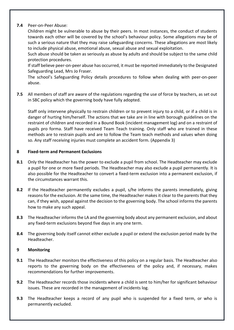# **7.4** Peer-on-Peer Abuse:

Children might be vulnerable to abuse by their peers. In most instances, the conduct of students towards each other will be covered by the school's behaviour policy. Some allegations may be of such a serious nature that they may raise safeguarding concerns. These allegations are most likely to include physical abuse, emotional abuse, sexual abuse and sexual exploitation.

Such abuse should be taken as seriously as abuse by adults and should be subject to the same child protection procedures.

If staff believe peer-on-peer abuse has occurred, it must be reported immediately to the Designated Safeguarding Lead, Mrs Jo Fraser.

The school's Safeguarding Policy details procedures to follow when dealing with peer-on-peer abuse.

**7.5** All members of staff are aware of the regulations regarding the use of force by teachers, as set out in SBC policy which the governing body have fully adopted.

Staff only intervene physically to restrain children or to prevent injury to a child, or if a child is in danger of hurting him/herself. The actions that we take are in line with borough guidelines on the restraint of children and recorded in a Bound Book (incident management log) and on a restraint of pupils pro forma. Staff have received Team Teach training. Only staff who are trained in these methods are to restrain pupils and are to follow the Team teach methods and values when doing so. Any staff receiving injuries must complete an accident form. (Appendix 3)

# **8 Fixed-term and Permanent Exclusions**

- **8.1** Only the Headteacher has the power to exclude a pupil from school. The Headteacher may exclude a pupil for one or more fixed periods. The Headteacher may also exclude a pupil permanently. It is also possible for the Headteacher to convert a fixed-term exclusion into a permanent exclusion, if the circumstances warrant this.
- **8.2** If the Headteacher permanently excludes a pupil, s/he informs the parents immediately, giving reasons for the exclusion. At the same time, the Headteacher makes it clear to the parents that they can, if they wish, appeal against the decision to the governing body. The school informs the parents how to make any such appeal.
- **8.3** The Headteacher informs the LA and the governing body about any permanent exclusion, and about any fixed-term exclusions beyond five days in any one term.
- **8.4** The governing body itself cannot either exclude a pupil or extend the exclusion period made by the Headteacher.

# **9 Monitoring**

- **9.1** The Headteacher monitors the effectiveness of this policy on a regular basis. The Headteacher also reports to the governing body on the effectiveness of the policy and, if necessary, makes recommendations for further improvements.
- **9.2** The Headteacher records those incidents where a child is sent to him/her for significant behaviour issues. These are recorded in the management of incidents log.
- **9.3** The Headteacher keeps a record of any pupil who is suspended for a fixed term, or who is permanently excluded.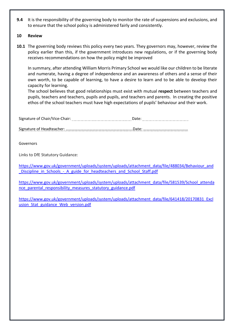**9.4** It is the responsibility of the governing body to monitor the rate of suspensions and exclusions, and to ensure that the school policy is administered fairly and consistently.

## **10 Review**

**10.1** The governing body reviews this policy every two years. They governors may, however, review the policy earlier than this, if the government introduces new regulations, or if the governing body receives recommendations on how the policy might be improved

In summary, after attending William Morris Primary School we would like our children to be literate and numerate, having a degree of independence and an awareness of others and a sense of their own worth, to be capable of learning, to have a desire to learn and to be able to develop their capacity for learning.

The school believes that good relationships must exist with mutual **respect** between teachers and pupils, teachers and teachers, pupils and pupils, and teachers and parents. In creating the positive ethos of the school teachers must have high expectations of pupils' behaviour and their work.

Signature of Chair/Vice-Chair: Date:

Signature of Headteacher: ………………………………………………………....Date: ………………………………………

Governors

Links to DfE Statutory Guidance:

[https://www.gov.uk/government/uploads/system/uploads/attachment\\_data/file/488034/Behaviour\\_and](https://www.gov.uk/government/uploads/system/uploads/attachment_data/file/488034/Behaviour_and_Discipline_in_Schools_-_A_guide_for_headteachers_and_School_Staff.pdf) Discipline\_in\_Schools\_-\_A\_guide\_for\_headteachers\_and\_School\_Staff.pdf

[https://www.gov.uk/government/uploads/system/uploads/attachment\\_data/file/581539/School\\_attenda](https://www.gov.uk/government/uploads/system/uploads/attachment_data/file/581539/School_attendance_parental_responsibility_measures_statutory_guidance.pdf) [nce\\_parental\\_responsibility\\_measures\\_statutory\\_guidance.pdf](https://www.gov.uk/government/uploads/system/uploads/attachment_data/file/581539/School_attendance_parental_responsibility_measures_statutory_guidance.pdf)

[https://www.gov.uk/government/uploads/system/uploads/attachment\\_data/file/641418/20170831\\_Excl](https://www.gov.uk/government/uploads/system/uploads/attachment_data/file/641418/20170831_Exclusion_Stat_guidance_Web_version.pdf) usion Stat guidance Web version.pdf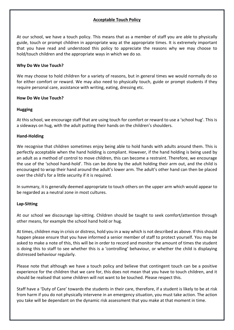# **Acceptable Touch Policy**

At our school, we have a touch policy. This means that as a member of staff you are able to physically guide, touch or prompt children in appropriate way at the appropriate times. It is extremely important that you have read and understood this policy to appreciate the reasons why we may choose to hold/touch children and the appropriate ways in which we do so.

# **Why Do We Use Touch?**

We may choose to hold children for a variety of reasons, but in general times we would normally do so for either comfort or reward. We may also need to physically touch, guide or prompt students if they require personal care, assistance with writing, eating, dressing etc.

# **How Do We Use Touch?**

# **Hugging**

At this school, we encourage staff that are using touch for comfort or reward to use a 'school hug'. This is a sideways on hug, with the adult putting their hands on the children's shoulders.

# **Hand-Holding**

We recognise that children sometimes enjoy being able to hold hands with adults around them. This is perfectly acceptable when the hand holding is compliant. However, if the hand holding is being used by an adult as a method of control to move children, this can become a restraint. Therefore, we encourage the use of the 'school hand-hold'. This can be done by the adult holding their arm out, and the child is encouraged to wrap their hand around the adult's lower arm. The adult's other hand can then be placed over the child's for a little security if it is required.

In summary, it is generally deemed appropriate to touch others on the upper arm which would appear to be regarded as a neutral zone in most cultures.

#### **Lap-Sitting**

At our school we discourage lap-sitting. Children should be taught to seek comfort/attention through other means, for example the school hand hold or hug.

At times, children may in crisis or distress, hold you in a way which is not described as above. If this should happen please ensure that you have informed a senior member of staff to protect yourself. You may be asked to make a note of this, this will be in order to record and monitor the amount of times the student is doing this to staff to see whether this is a 'controlling' behaviour, or whether the child is displaying distressed behaviour regularly.

Please note that although we have a touch policy and believe that contingent touch can be a positive experience for the children that we care for, this does not mean that you have to touch children, and it should be realised that some children will not want to be touched. Please respect this.

Staff have a 'Duty of Care' towards the students in their care, therefore, if a student is likely to be at risk from harm if you do not physically intervene in an emergency situation, you must take action. The action you take will be dependant on the dynamic risk assessment that you make at that moment in time.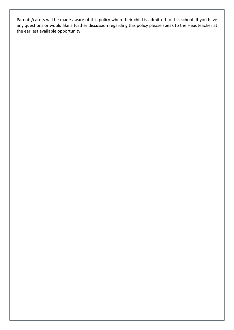Parents/carers will be made aware of this policy when their child is admitted to this school. If you have any questions or would like a further discussion regarding this policy please speak to the Headteacher at the earliest available opportunity.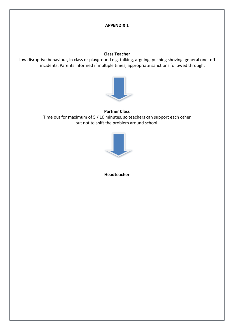# **APPENDIX 1**

# **Class Teacher**

Low disruptive behaviour, in class or playground e.g. talking, arguing, pushing shoving, general one–off incidents. Parents informed if multiple times, appropriate sanctions followed through.



# **Partner Class** Time out for maximum of 5 / 10 minutes, so teachers can support each other but not to shift the problem around school.



**Headteacher**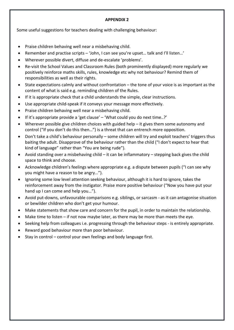#### **APPENDIX 2**

Some useful suggestions for teachers dealing with challenging behaviour:

- Praise children behaving well near a misbehaving child.
- Remember and practise scripts 'John, I can see you're upset… talk and I'll listen…'
- Wherever possible divert, diffuse and de-escalate 'problems'.
- Re-visit the School Values and Classroom Rules (both prominently displayed) more regularly we positively reinforce maths skills, rules, knowledge etc why not behaviour? Remind them of responsibilities as well as their rights.
- State expectations calmly and without confrontation the tone of your voice is as important as the content of what is said e.g. reminding children of the Rules.
- If it is appropriate check that a child understands the simple, clear instructions.
- Use appropriate child-speak if it conveys your message more effectively.
- Praise children behaving well near a misbehaving child.
- If it's appropriate provide a 'get clause' 'What could you do next time..?'
- Wherever possible give children choices with guided help it gives them some autonomy and control ("If you don't do this then…") is a threat that can entrench more opposition.
- Don't take a child's behaviour personally some children will try and exploit teachers' triggers thus baiting the adult. Disapprove of the behaviour rather than the child ("I don't expect to hear that kind of language" rather than "You are being rude").
- Avoid standing over a misbehaving child it can be inflammatory stepping back gives the child space to think and choose.
- Acknowledge children's feelings where appropriate e.g. a dispute between pupils ("I can see why you might have a reason to be angry…").
- Ignoring some low level attention seeking behaviour, although it is hard to ignore, takes the reinforcement away from the instigator. Praise more positive behaviour ("Now you have put your hand up I can come and help you…").
- Avoid put-downs, unfavourable comparisons e.g. siblings, or sarcasm as it can antagonise situation or bewilder children who don't get your humour.
- Make statements that show care and concern for the pupil, in order to maintain the relationship.
- Make time to listen if not now maybe later, as there may be more than meets the eye.
- Seeking help from colleagues i.e. progressing through the behaviour steps is entirely appropriate.
- Reward good behaviour more than poor behaviour.
- Stay in control control your own feelings and body language first.